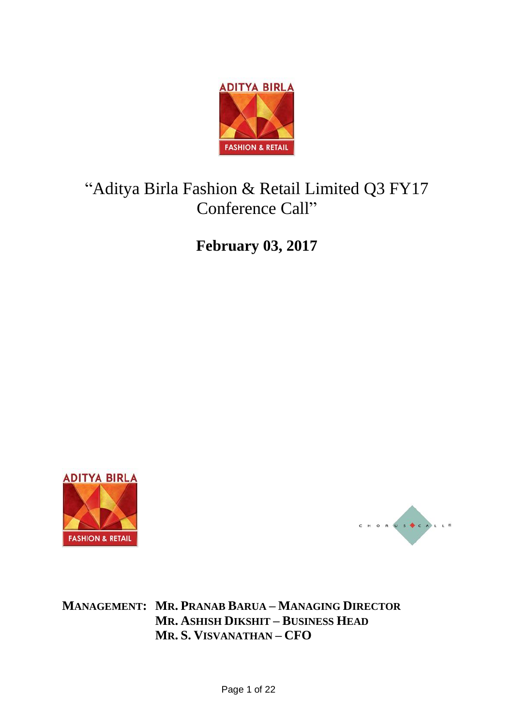

# "Aditya Birla Fashion & Retail Limited Q3 FY17 Conference Call"

**February 03, 2017**





**MANAGEMENT: MR. PRANAB BARUA – MANAGING DIRECTOR MR. ASHISH DIKSHIT – BUSINESS HEAD MR. S. VISVANATHAN – CFO**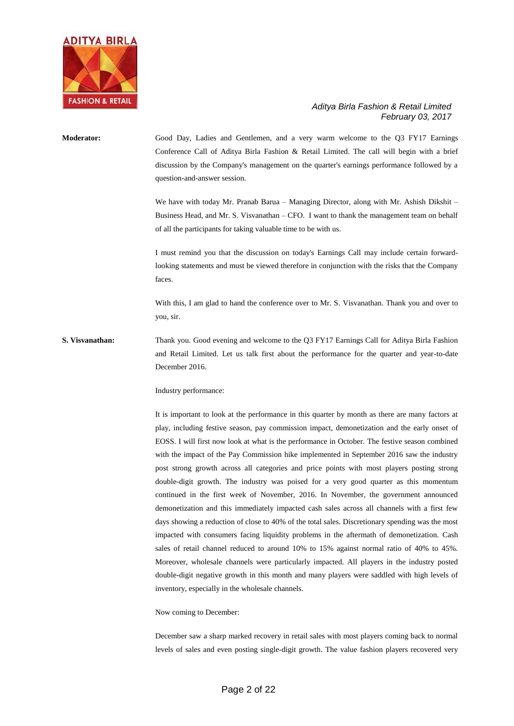

# **Moderator:** Good Day, Ladies and Gentlemen, and a very warm welcome to the Q3 FY17 Earnings Conference Call of Aditya Birla Fashion & Retail Limited. The call will begin with a brief discussion by the Company's management on the quarter's earnings performance followed by a question-and-answer session. We have with today Mr. Pranab Barua – Managing Director, along with Mr. Ashish Dikshit – Business Head, and Mr. S. Visvanathan – CFO. I want to thank the management team on behalf of all the participants for taking valuable time to be with us. I must remind you that the discussion on today's Earnings Call may include certain forwardlooking statements and must be viewed therefore in conjunction with the risks that the Company faces.

With this, I am glad to hand the conference over to Mr. S. Visvanathan. Thank you and over to you, sir.

**S. Visvanathan:** Thank you. Good evening and welcome to the Q3 FY17 Earnings Call for Aditya Birla Fashion and Retail Limited. Let us talk first about the performance for the quarter and year-to-date December 2016.

Industry performance:

It is important to look at the performance in this quarter by month as there are many factors at play, including festive season, pay commission impact, demonetization and the early onset of EOSS. I will first now look at what is the performance in October. The festive season combined with the impact of the Pay Commission hike implemented in September 2016 saw the industry post strong growth across all categories and price points with most players posting strong double-digit growth. The industry was poised for a very good quarter as this momentum continued in the first week of November, 2016. In November, the government announced demonetization and this immediately impacted cash sales across all channels with a first few days showing a reduction of close to 40% of the total sales. Discretionary spending was the most impacted with consumers facing liquidity problems in the aftermath of demonetization. Cash sales of retail channel reduced to around 10% to 15% against normal ratio of 40% to 45%. Moreover, wholesale channels were particularly impacted. All players in the industry posted double-digit negative growth in this month and many players were saddled with high levels of inventory, especially in the wholesale channels.

Now coming to December:

December saw a sharp marked recovery in retail sales with most players coming back to normal levels of sales and even posting single-digit growth. The value fashion players recovered very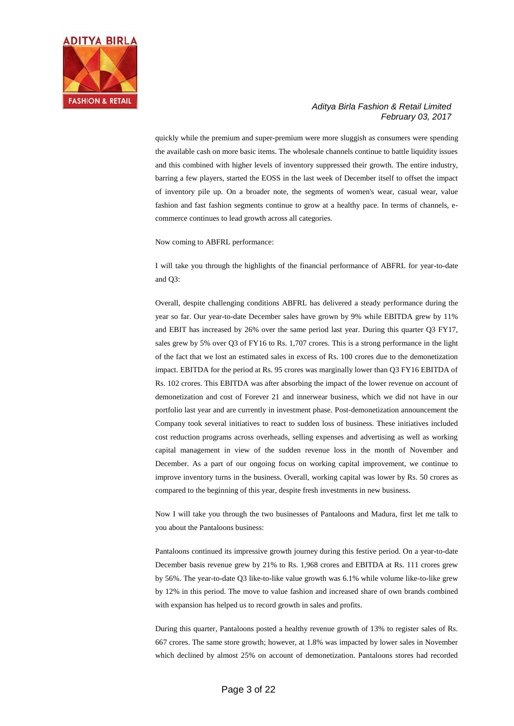

quickly while the premium and super-premium were more sluggish as consumers were spending the available cash on more basic items. The wholesale channels continue to battle liquidity issues and this combined with higher levels of inventory suppressed their growth. The entire industry, barring a few players, started the EOSS in the last week of December itself to offset the impact of inventory pile up. On a broader note, the segments of women's wear, casual wear, value fashion and fast fashion segments continue to grow at a healthy pace. In terms of channels, ecommerce continues to lead growth across all categories.

Now coming to ABFRL performance:

I will take you through the highlights of the financial performance of ABFRL for year-to-date and Q3:

Overall, despite challenging conditions ABFRL has delivered a steady performance during the year so far. Our year-to-date December sales have grown by 9% while EBITDA grew by 11% and EBIT has increased by 26% over the same period last year. During this quarter Q3 FY17, sales grew by 5% over Q3 of FY16 to Rs. 1,707 crores. This is a strong performance in the light of the fact that we lost an estimated sales in excess of Rs. 100 crores due to the demonetization impact. EBITDA for the period at Rs. 95 crores was marginally lower than Q3 FY16 EBITDA of Rs. 102 crores. This EBITDA was after absorbing the impact of the lower revenue on account of demonetization and cost of Forever 21 and innerwear business, which we did not have in our portfolio last year and are currently in investment phase. Post-demonetization announcement the Company took several initiatives to react to sudden loss of business. These initiatives included cost reduction programs across overheads, selling expenses and advertising as well as working capital management in view of the sudden revenue loss in the month of November and December. As a part of our ongoing focus on working capital improvement, we continue to improve inventory turns in the business. Overall, working capital was lower by Rs. 50 crores as compared to the beginning of this year, despite fresh investments in new business.

Now I will take you through the two businesses of Pantaloons and Madura, first let me talk to you about the Pantaloons business:

Pantaloons continued its impressive growth journey during this festive period. On a year-to-date December basis revenue grew by 21% to Rs. 1,968 crores and EBITDA at Rs. 111 crores grew by 56%. The year-to-date Q3 like-to-like value growth was 6.1% while volume like-to-like grew by 12% in this period. The move to value fashion and increased share of own brands combined with expansion has helped us to record growth in sales and profits.

During this quarter, Pantaloons posted a healthy revenue growth of 13% to register sales of Rs. 667 crores. The same store growth; however, at 1.8% was impacted by lower sales in November which declined by almost 25% on account of demonetization. Pantaloons stores had recorded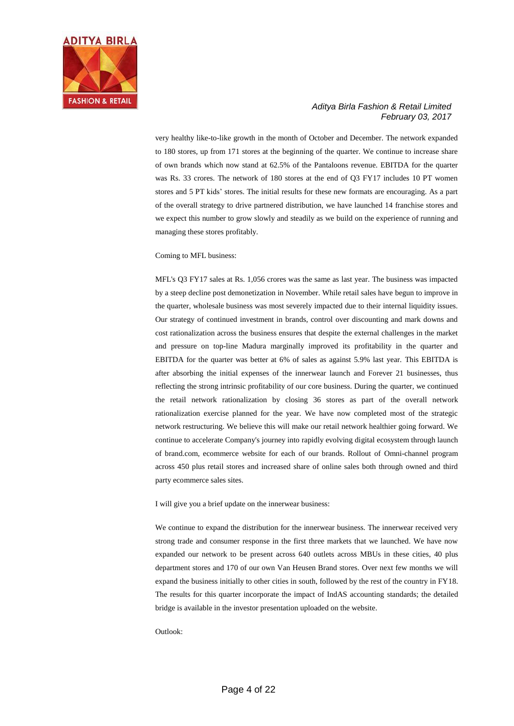

very healthy like-to-like growth in the month of October and December. The network expanded to 180 stores, up from 171 stores at the beginning of the quarter. We continue to increase share of own brands which now stand at 62.5% of the Pantaloons revenue. EBITDA for the quarter was Rs. 33 crores. The network of 180 stores at the end of Q3 FY17 includes 10 PT women stores and 5 PT kids' stores. The initial results for these new formats are encouraging. As a part of the overall strategy to drive partnered distribution, we have launched 14 franchise stores and we expect this number to grow slowly and steadily as we build on the experience of running and managing these stores profitably.

Coming to MFL business:

MFL's Q3 FY17 sales at Rs. 1,056 crores was the same as last year. The business was impacted by a steep decline post demonetization in November. While retail sales have begun to improve in the quarter, wholesale business was most severely impacted due to their internal liquidity issues. Our strategy of continued investment in brands, control over discounting and mark downs and cost rationalization across the business ensures that despite the external challenges in the market and pressure on top-line Madura marginally improved its profitability in the quarter and EBITDA for the quarter was better at 6% of sales as against 5.9% last year. This EBITDA is after absorbing the initial expenses of the innerwear launch and Forever 21 businesses, thus reflecting the strong intrinsic profitability of our core business. During the quarter, we continued the retail network rationalization by closing 36 stores as part of the overall network rationalization exercise planned for the year. We have now completed most of the strategic network restructuring. We believe this will make our retail network healthier going forward. We continue to accelerate Company's journey into rapidly evolving digital ecosystem through launch of brand.com, ecommerce website for each of our brands. Rollout of Omni-channel program across 450 plus retail stores and increased share of online sales both through owned and third party ecommerce sales sites.

I will give you a brief update on the innerwear business:

We continue to expand the distribution for the innerwear business. The innerwear received very strong trade and consumer response in the first three markets that we launched. We have now expanded our network to be present across 640 outlets across MBUs in these cities, 40 plus department stores and 170 of our own Van Heusen Brand stores. Over next few months we will expand the business initially to other cities in south, followed by the rest of the country in FY18. The results for this quarter incorporate the impact of IndAS accounting standards; the detailed bridge is available in the investor presentation uploaded on the website.

Outlook: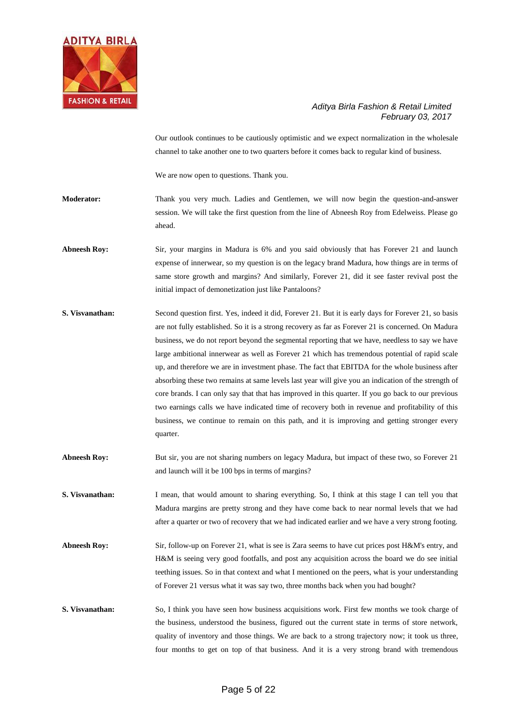

Our outlook continues to be cautiously optimistic and we expect normalization in the wholesale channel to take another one to two quarters before it comes back to regular kind of business.

We are now open to questions. Thank you.

**Moderator:** Thank you very much. Ladies and Gentlemen, we will now begin the question-and-answer session. We will take the first question from the line of Abneesh Roy from Edelweiss. Please go ahead.

**Abneesh Roy:** Sir, your margins in Madura is 6% and you said obviously that has Forever 21 and launch expense of innerwear, so my question is on the legacy brand Madura, how things are in terms of same store growth and margins? And similarly, Forever 21, did it see faster revival post the initial impact of demonetization just like Pantaloons?

- **S. Visvanathan:** Second question first. Yes, indeed it did, Forever 21. But it is early days for Forever 21, so basis are not fully established. So it is a strong recovery as far as Forever 21 is concerned. On Madura business, we do not report beyond the segmental reporting that we have, needless to say we have large ambitional innerwear as well as Forever 21 which has tremendous potential of rapid scale up, and therefore we are in investment phase. The fact that EBITDA for the whole business after absorbing these two remains at same levels last year will give you an indication of the strength of core brands. I can only say that that has improved in this quarter. If you go back to our previous two earnings calls we have indicated time of recovery both in revenue and profitability of this business, we continue to remain on this path, and it is improving and getting stronger every quarter.
- Abneesh Roy: But sir, you are not sharing numbers on legacy Madura, but impact of these two, so Forever 21 and launch will it be 100 bps in terms of margins?

**S. Visvanathan:** I mean, that would amount to sharing everything. So, I think at this stage I can tell you that Madura margins are pretty strong and they have come back to near normal levels that we had after a quarter or two of recovery that we had indicated earlier and we have a very strong footing.

- Abneesh Roy: Sir, follow-up on Forever 21, what is see is Zara seems to have cut prices post H&M's entry, and H&M is seeing very good footfalls, and post any acquisition across the board we do see initial teething issues. So in that context and what I mentioned on the peers, what is your understanding of Forever 21 versus what it was say two, three months back when you had bought?
- **S. Visvanathan:** So, I think you have seen how business acquisitions work. First few months we took charge of the business, understood the business, figured out the current state in terms of store network, quality of inventory and those things. We are back to a strong trajectory now; it took us three, four months to get on top of that business. And it is a very strong brand with tremendous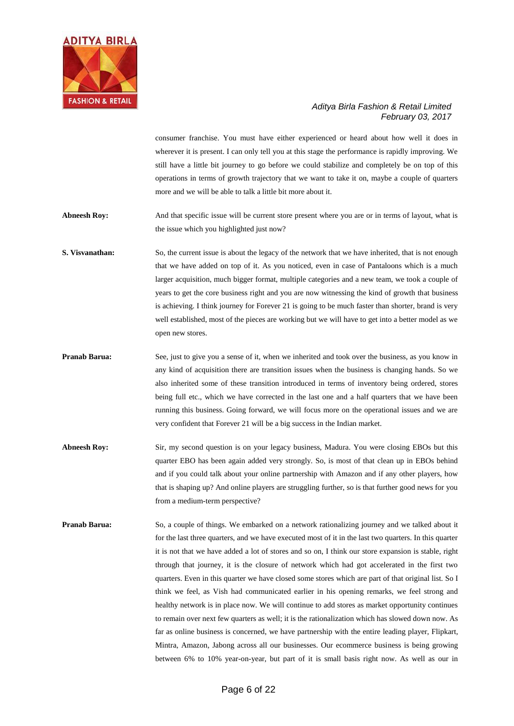

consumer franchise. You must have either experienced or heard about how well it does in wherever it is present. I can only tell you at this stage the performance is rapidly improving. We still have a little bit journey to go before we could stabilize and completely be on top of this operations in terms of growth trajectory that we want to take it on, maybe a couple of quarters more and we will be able to talk a little bit more about it.

**Abneesh Roy:** And that specific issue will be current store present where you are or in terms of layout, what is the issue which you highlighted just now?

**S. Visvanathan:** So, the current issue is about the legacy of the network that we have inherited, that is not enough that we have added on top of it. As you noticed, even in case of Pantaloons which is a much larger acquisition, much bigger format, multiple categories and a new team, we took a couple of years to get the core business right and you are now witnessing the kind of growth that business is achieving. I think journey for Forever 21 is going to be much faster than shorter, brand is very well established, most of the pieces are working but we will have to get into a better model as we open new stores.

- **Pranab Barua:** See, just to give you a sense of it, when we inherited and took over the business, as you know in any kind of acquisition there are transition issues when the business is changing hands. So we also inherited some of these transition introduced in terms of inventory being ordered, stores being full etc., which we have corrected in the last one and a half quarters that we have been running this business. Going forward, we will focus more on the operational issues and we are very confident that Forever 21 will be a big success in the Indian market.
- Abneesh Roy: Sir, my second question is on your legacy business, Madura. You were closing EBOs but this quarter EBO has been again added very strongly. So, is most of that clean up in EBOs behind and if you could talk about your online partnership with Amazon and if any other players, how that is shaping up? And online players are struggling further, so is that further good news for you from a medium-term perspective?
- **Pranab Barua:** So, a couple of things. We embarked on a network rationalizing journey and we talked about it for the last three quarters, and we have executed most of it in the last two quarters. In this quarter it is not that we have added a lot of stores and so on, I think our store expansion is stable, right through that journey, it is the closure of network which had got accelerated in the first two quarters. Even in this quarter we have closed some stores which are part of that original list. So I think we feel, as Vish had communicated earlier in his opening remarks, we feel strong and healthy network is in place now. We will continue to add stores as market opportunity continues to remain over next few quarters as well; it is the rationalization which has slowed down now. As far as online business is concerned, we have partnership with the entire leading player, Flipkart, Mintra, Amazon, Jabong across all our businesses. Our ecommerce business is being growing between 6% to 10% year-on-year, but part of it is small basis right now. As well as our in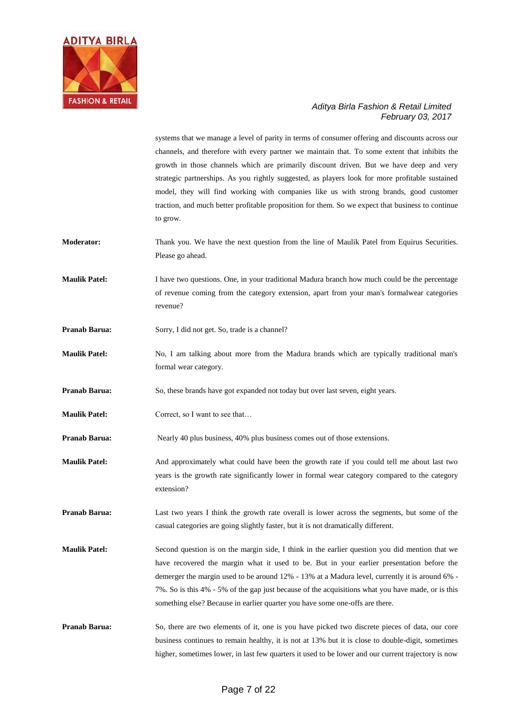

systems that we manage a level of parity in terms of consumer offering and discounts across our channels, and therefore with every partner we maintain that. To some extent that inhibits the growth in those channels which are primarily discount driven. But we have deep and very strategic partnerships. As you rightly suggested, as players look for more profitable sustained model, they will find working with companies like us with strong brands, good customer traction, and much better profitable proposition for them. So we expect that business to continue to grow.

- **Moderator:** Thank you. We have the next question from the line of Maulik Patel from Equirus Securities. Please go ahead.
- **Maulik Patel:** I have two questions. One, in your traditional Madura branch how much could be the percentage of revenue coming from the category extension, apart from your man's formalwear categories revenue?
- **Pranab Barua:** Sorry, I did not get. So, trade is a channel?
- **Maulik Patel:** No, I am talking about more from the Madura brands which are typically traditional man's formal wear category.

**Pranab Barua:** So, these brands have got expanded not today but over last seven, eight years.

**Maulik Patel:** Correct, so I want to see that...

**Pranab Barua:** Nearly 40 plus business, 40% plus business comes out of those extensions.

- **Maulik Patel:** And approximately what could have been the growth rate if you could tell me about last two years is the growth rate significantly lower in formal wear category compared to the category extension?
- **Pranab Barua:** Last two years I think the growth rate overall is lower across the segments, but some of the casual categories are going slightly faster, but it is not dramatically different.
- **Maulik Patel:** Second question is on the margin side, I think in the earlier question you did mention that we have recovered the margin what it used to be. But in your earlier presentation before the demerger the margin used to be around 12% - 13% at a Madura level, currently it is around 6% - 7%. So is this 4% - 5% of the gap just because of the acquisitions what you have made, or is this something else? Because in earlier quarter you have some one-offs are there.
- **Pranab Barua:** So, there are two elements of it, one is you have picked two discrete pieces of data, our core business continues to remain healthy, it is not at 13% but it is close to double-digit, sometimes higher, sometimes lower, in last few quarters it used to be lower and our current trajectory is now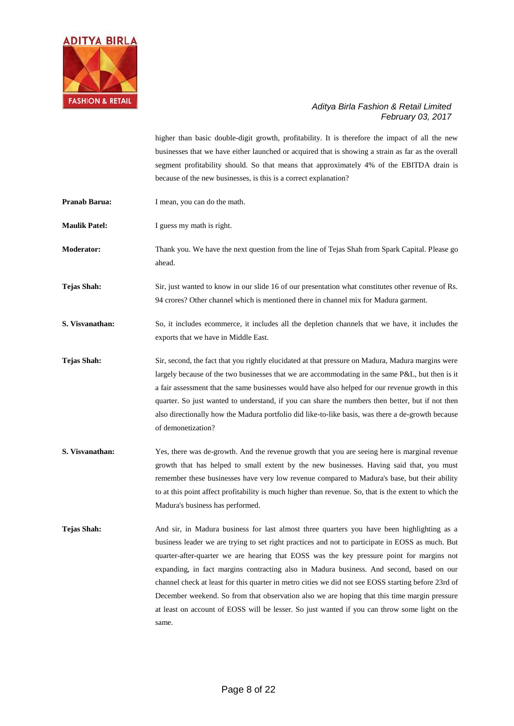

higher than basic double-digit growth, profitability. It is therefore the impact of all the new businesses that we have either launched or acquired that is showing a strain as far as the overall segment profitability should. So that means that approximately 4% of the EBITDA drain is because of the new businesses, is this is a correct explanation?

**Pranab Barua:** I mean, you can do the math.

**Maulik Patel:** I guess my math is right.

**Moderator:** Thank you. We have the next question from the line of Tejas Shah from Spark Capital. Please go ahead.

**Tejas Shah:** Sir, just wanted to know in our slide 16 of our presentation what constitutes other revenue of Rs. 94 crores? Other channel which is mentioned there in channel mix for Madura garment.

**S. Visvanathan:** So, it includes ecommerce, it includes all the depletion channels that we have, it includes the exports that we have in Middle East.

**Tejas Shah:** Sir, second, the fact that you rightly elucidated at that pressure on Madura, Madura margins were largely because of the two businesses that we are accommodating in the same P&L, but then is it a fair assessment that the same businesses would have also helped for our revenue growth in this quarter. So just wanted to understand, if you can share the numbers then better, but if not then also directionally how the Madura portfolio did like-to-like basis, was there a de-growth because of demonetization?

- **S. Visvanathan:** Yes, there was de-growth. And the revenue growth that you are seeing here is marginal revenue growth that has helped to small extent by the new businesses. Having said that, you must remember these businesses have very low revenue compared to Madura's base, but their ability to at this point affect profitability is much higher than revenue. So, that is the extent to which the Madura's business has performed.
- **Tejas Shah:** And sir, in Madura business for last almost three quarters you have been highlighting as a business leader we are trying to set right practices and not to participate in EOSS as much. But quarter-after-quarter we are hearing that EOSS was the key pressure point for margins not expanding, in fact margins contracting also in Madura business. And second, based on our channel check at least for this quarter in metro cities we did not see EOSS starting before 23rd of December weekend. So from that observation also we are hoping that this time margin pressure at least on account of EOSS will be lesser. So just wanted if you can throw some light on the same.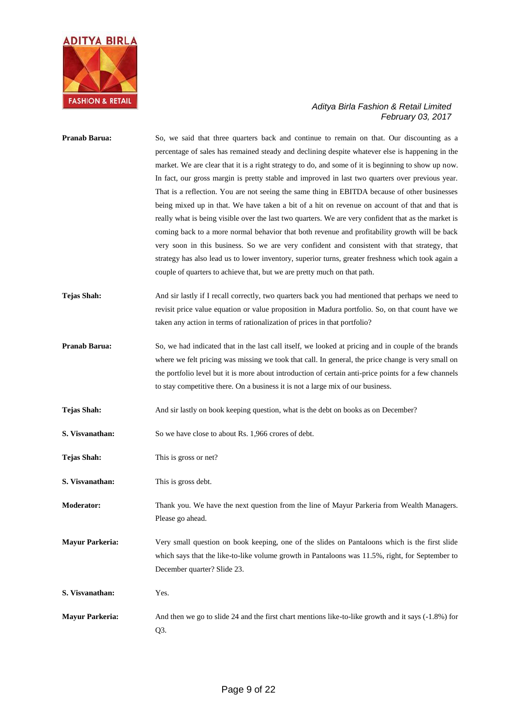

| Pranab Barua:          | So, we said that three quarters back and continue to remain on that. Our discounting as a<br>percentage of sales has remained steady and declining despite whatever else is happening in the<br>market. We are clear that it is a right strategy to do, and some of it is beginning to show up now.<br>In fact, our gross margin is pretty stable and improved in last two quarters over previous year.<br>That is a reflection. You are not seeing the same thing in EBITDA because of other businesses<br>being mixed up in that. We have taken a bit of a hit on revenue on account of that and that is<br>really what is being visible over the last two quarters. We are very confident that as the market is<br>coming back to a more normal behavior that both revenue and profitability growth will be back<br>very soon in this business. So we are very confident and consistent with that strategy, that<br>strategy has also lead us to lower inventory, superior turns, greater freshness which took again a<br>couple of quarters to achieve that, but we are pretty much on that path. |
|------------------------|-------------------------------------------------------------------------------------------------------------------------------------------------------------------------------------------------------------------------------------------------------------------------------------------------------------------------------------------------------------------------------------------------------------------------------------------------------------------------------------------------------------------------------------------------------------------------------------------------------------------------------------------------------------------------------------------------------------------------------------------------------------------------------------------------------------------------------------------------------------------------------------------------------------------------------------------------------------------------------------------------------------------------------------------------------------------------------------------------------|
| <b>Tejas Shah:</b>     | And sir lastly if I recall correctly, two quarters back you had mentioned that perhaps we need to<br>revisit price value equation or value proposition in Madura portfolio. So, on that count have we<br>taken any action in terms of rationalization of prices in that portfolio?                                                                                                                                                                                                                                                                                                                                                                                                                                                                                                                                                                                                                                                                                                                                                                                                                    |
| Pranab Barua:          | So, we had indicated that in the last call itself, we looked at pricing and in couple of the brands<br>where we felt pricing was missing we took that call. In general, the price change is very small on<br>the portfolio level but it is more about introduction of certain anti-price points for a few channels<br>to stay competitive there. On a business it is not a large mix of our business.                                                                                                                                                                                                                                                                                                                                                                                                                                                                                                                                                                                                                                                                                                 |
| <b>Tejas Shah:</b>     | And sir lastly on book keeping question, what is the debt on books as on December?                                                                                                                                                                                                                                                                                                                                                                                                                                                                                                                                                                                                                                                                                                                                                                                                                                                                                                                                                                                                                    |
| S. Visvanathan:        | So we have close to about Rs. 1,966 crores of debt.                                                                                                                                                                                                                                                                                                                                                                                                                                                                                                                                                                                                                                                                                                                                                                                                                                                                                                                                                                                                                                                   |
| <b>Tejas Shah:</b>     | This is gross or net?                                                                                                                                                                                                                                                                                                                                                                                                                                                                                                                                                                                                                                                                                                                                                                                                                                                                                                                                                                                                                                                                                 |
| S. Visvanathan:        | This is gross debt.                                                                                                                                                                                                                                                                                                                                                                                                                                                                                                                                                                                                                                                                                                                                                                                                                                                                                                                                                                                                                                                                                   |
| <b>Moderator:</b>      | Thank you. We have the next question from the line of Mayur Parkeria from Wealth Managers.<br>Please go ahead.                                                                                                                                                                                                                                                                                                                                                                                                                                                                                                                                                                                                                                                                                                                                                                                                                                                                                                                                                                                        |
| <b>Mayur Parkeria:</b> | Very small question on book keeping, one of the slides on Pantaloons which is the first slide<br>which says that the like-to-like volume growth in Pantaloons was 11.5%, right, for September to<br>December quarter? Slide 23.                                                                                                                                                                                                                                                                                                                                                                                                                                                                                                                                                                                                                                                                                                                                                                                                                                                                       |
| S. Visvanathan:        | Yes.                                                                                                                                                                                                                                                                                                                                                                                                                                                                                                                                                                                                                                                                                                                                                                                                                                                                                                                                                                                                                                                                                                  |
| <b>Mayur Parkeria:</b> | And then we go to slide 24 and the first chart mentions like-to-like growth and it says (-1.8%) for<br>Q3.                                                                                                                                                                                                                                                                                                                                                                                                                                                                                                                                                                                                                                                                                                                                                                                                                                                                                                                                                                                            |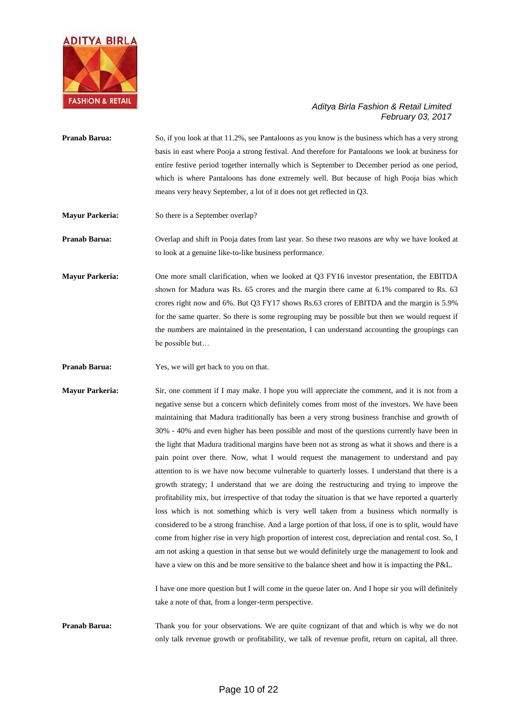

- **Pranab Barua:** So, if you look at that 11.2%, see Pantaloons as you know is the business which has a very strong basis in east where Pooja a strong festival. And therefore for Pantaloons we look at business for entire festive period together internally which is September to December period as one period, which is where Pantaloons has done extremely well. But because of high Pooja bias which means very heavy September, a lot of it does not get reflected in Q3.
- **Mayur Parkeria:** So there is a September overlap?

**Pranab Barua:** Overlap and shift in Pooja dates from last year. So these two reasons are why we have looked at to look at a genuine like-to-like business performance.

**Mayur Parkeria:** One more small clarification, when we looked at Q3 FY16 investor presentation, the EBITDA shown for Madura was Rs. 65 crores and the margin there came at 6.1% compared to Rs. 63 crores right now and 6%. But Q3 FY17 shows Rs.63 crores of EBITDA and the margin is 5.9% for the same quarter. So there is some regrouping may be possible but then we would request if the numbers are maintained in the presentation, I can understand accounting the groupings can be possible but…

**Pranab Barua:** Yes, we will get back to you on that.

**Mayur Parkeria:** Sir, one comment if I may make. I hope you will appreciate the comment, and it is not from a negative sense but a concern which definitely comes from most of the investors. We have been maintaining that Madura traditionally has been a very strong business franchise and growth of 30% - 40% and even higher has been possible and most of the questions currently have been in the light that Madura traditional margins have been not as strong as what it shows and there is a pain point over there. Now, what I would request the management to understand and pay attention to is we have now become vulnerable to quarterly losses. I understand that there is a growth strategy; I understand that we are doing the restructuring and trying to improve the profitability mix, but irrespective of that today the situation is that we have reported a quarterly loss which is not something which is very well taken from a business which normally is considered to be a strong franchise. And a large portion of that loss, if one is to split, would have come from higher rise in very high proportion of interest cost, depreciation and rental cost. So, I am not asking a question in that sense but we would definitely urge the management to look and have a view on this and be more sensitive to the balance sheet and how it is impacting the P&L.

> I have one more question but I will come in the queue later on. And I hope sir you will definitely take a note of that, from a longer-term perspective.

**Pranab Barua:** Thank you for your observations. We are quite cognizant of that and which is why we do not only talk revenue growth or profitability, we talk of revenue profit, return on capital, all three.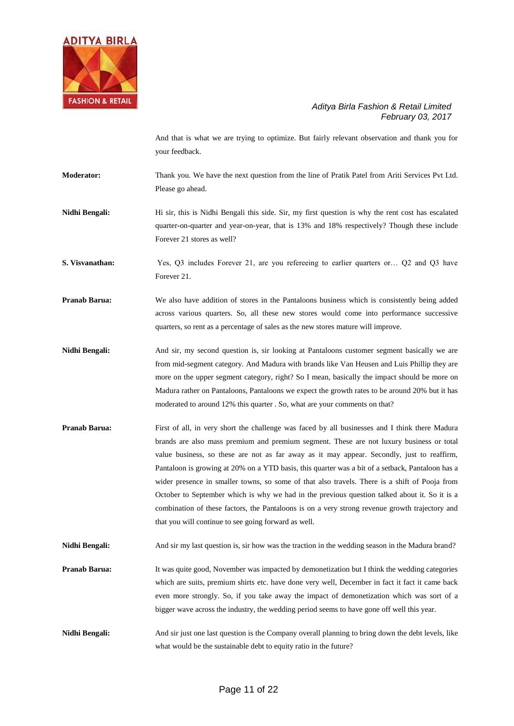

And that is what we are trying to optimize. But fairly relevant observation and thank you for your feedback.

**Moderator:** Thank you. We have the next question from the line of Pratik Patel from Ariti Services Pvt Ltd. Please go ahead.

**Nidhi Bengali:** Hi sir, this is Nidhi Bengali this side. Sir, my first question is why the rent cost has escalated quarter-on-quarter and year-on-year, that is 13% and 18% respectively? Though these include Forever 21 stores as well?

**S. Visvanathan:** Yes, Q3 includes Forever 21, are you refereeing to earlier quarters or... Q2 and Q3 have Forever 21.

**Pranab Barua:** We also have addition of stores in the Pantaloons business which is consistently being added across various quarters. So, all these new stores would come into performance successive quarters, so rent as a percentage of sales as the new stores mature will improve.

**Nidhi Bengali:** And sir, my second question is, sir looking at Pantaloons customer segment basically we are from mid-segment category. And Madura with brands like Van Heusen and Luis Phillip they are more on the upper segment category, right? So I mean, basically the impact should be more on Madura rather on Pantaloons, Pantaloons we expect the growth rates to be around 20% but it has moderated to around 12% this quarter . So, what are your comments on that?

**Pranab Barua:** First of all, in very short the challenge was faced by all businesses and I think there Madura brands are also mass premium and premium segment. These are not luxury business or total value business, so these are not as far away as it may appear. Secondly, just to reaffirm, Pantaloon is growing at 20% on a YTD basis, this quarter was a bit of a setback, Pantaloon has a wider presence in smaller towns, so some of that also travels. There is a shift of Pooja from October to September which is why we had in the previous question talked about it. So it is a combination of these factors, the Pantaloons is on a very strong revenue growth trajectory and that you will continue to see going forward as well.

Nidhi Bengali: And sir my last question is, sir how was the traction in the wedding season in the Madura brand?

**Pranab Barua:** It was quite good, November was impacted by demonetization but I think the wedding categories which are suits, premium shirts etc. have done very well, December in fact it fact it came back even more strongly. So, if you take away the impact of demonetization which was sort of a bigger wave across the industry, the wedding period seems to have gone off well this year.

**Nidhi Bengali:** And sir just one last question is the Company overall planning to bring down the debt levels, like what would be the sustainable debt to equity ratio in the future?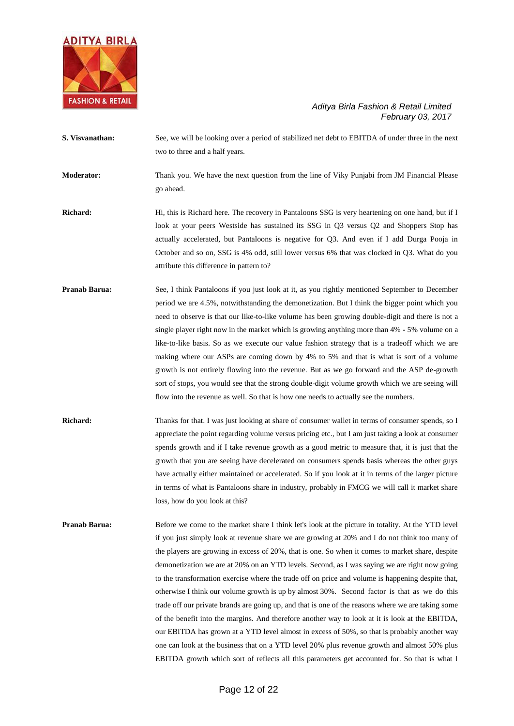

- **S. Visvanathan:** See, we will be looking over a period of stabilized net debt to EBITDA of under three in the next two to three and a half years. **Moderator:** Thank you. We have the next question from the line of Viky Punjabi from JM Financial Please go ahead.
- **Richard:** Hi, this is Richard here. The recovery in Pantaloons SSG is very heartening on one hand, but if I look at your peers Westside has sustained its SSG in Q3 versus Q2 and Shoppers Stop has actually accelerated, but Pantaloons is negative for Q3. And even if I add Durga Pooja in October and so on, SSG is 4% odd, still lower versus 6% that was clocked in Q3. What do you attribute this difference in pattern to?
- **Pranab Barua:** See, I think Pantaloons if you just look at it, as you rightly mentioned September to December period we are 4.5%, notwithstanding the demonetization. But I think the bigger point which you need to observe is that our like-to-like volume has been growing double-digit and there is not a single player right now in the market which is growing anything more than 4% - 5% volume on a like-to-like basis. So as we execute our value fashion strategy that is a tradeoff which we are making where our ASPs are coming down by 4% to 5% and that is what is sort of a volume growth is not entirely flowing into the revenue. But as we go forward and the ASP de-growth sort of stops, you would see that the strong double-digit volume growth which we are seeing will flow into the revenue as well. So that is how one needs to actually see the numbers.
- **Richard:** Thanks for that. I was just looking at share of consumer wallet in terms of consumer spends, so I appreciate the point regarding volume versus pricing etc., but I am just taking a look at consumer spends growth and if I take revenue growth as a good metric to measure that, it is just that the growth that you are seeing have decelerated on consumers spends basis whereas the other guys have actually either maintained or accelerated. So if you look at it in terms of the larger picture in terms of what is Pantaloons share in industry, probably in FMCG we will call it market share loss, how do you look at this?
- **Pranab Barua:** Before we come to the market share I think let's look at the picture in totality. At the YTD level if you just simply look at revenue share we are growing at 20% and I do not think too many of the players are growing in excess of 20%, that is one. So when it comes to market share, despite demonetization we are at 20% on an YTD levels. Second, as I was saying we are right now going to the transformation exercise where the trade off on price and volume is happening despite that, otherwise I think our volume growth is up by almost 30%. Second factor is that as we do this trade off our private brands are going up, and that is one of the reasons where we are taking some of the benefit into the margins. And therefore another way to look at it is look at the EBITDA, our EBITDA has grown at a YTD level almost in excess of 50%, so that is probably another way one can look at the business that on a YTD level 20% plus revenue growth and almost 50% plus EBITDA growth which sort of reflects all this parameters get accounted for. So that is what I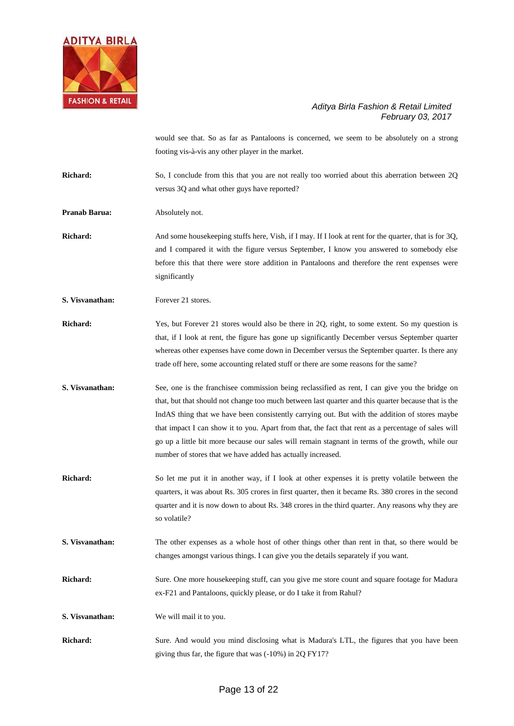

would see that. So as far as Pantaloons is concerned, we seem to be absolutely on a strong footing vis-à-vis any other player in the market.

**Richard:** So, I conclude from this that you are not really too worried about this aberration between 2Q versus 3Q and what other guys have reported?

**Pranab Barua:** Absolutely not.

**Richard:** And some housekeeping stuffs here, Vish, if I may. If I look at rent for the quarter, that is for 3Q, and I compared it with the figure versus September, I know you answered to somebody else before this that there were store addition in Pantaloons and therefore the rent expenses were significantly

**S. Visvanathan:** Forever 21 stores.

**Richard:** Yes, but Forever 21 stores would also be there in 2Q, right, to some extent. So my question is that, if I look at rent, the figure has gone up significantly December versus September quarter whereas other expenses have come down in December versus the September quarter. Is there any trade off here, some accounting related stuff or there are some reasons for the same?

**S. Visvanathan:** See, one is the franchisee commission being reclassified as rent, I can give you the bridge on that, but that should not change too much between last quarter and this quarter because that is the IndAS thing that we have been consistently carrying out. But with the addition of stores maybe that impact I can show it to you. Apart from that, the fact that rent as a percentage of sales will go up a little bit more because our sales will remain stagnant in terms of the growth, while our number of stores that we have added has actually increased.

**Richard:** So let me put it in another way, if I look at other expenses it is pretty volatile between the quarters, it was about Rs. 305 crores in first quarter, then it became Rs. 380 crores in the second quarter and it is now down to about Rs. 348 crores in the third quarter. Any reasons why they are so volatile?

**S. Visvanathan:** The other expenses as a whole host of other things other than rent in that, so there would be changes amongst various things. I can give you the details separately if you want.

**Richard:** Sure. One more housekeeping stuff, can you give me store count and square footage for Madura ex-F21 and Pantaloons, quickly please, or do I take it from Rahul?

**S. Visvanathan:** We will mail it to you.

**Richard:** Sure. And would you mind disclosing what is Madura's LTL, the figures that you have been giving thus far, the figure that was (-10%) in 2Q FY17?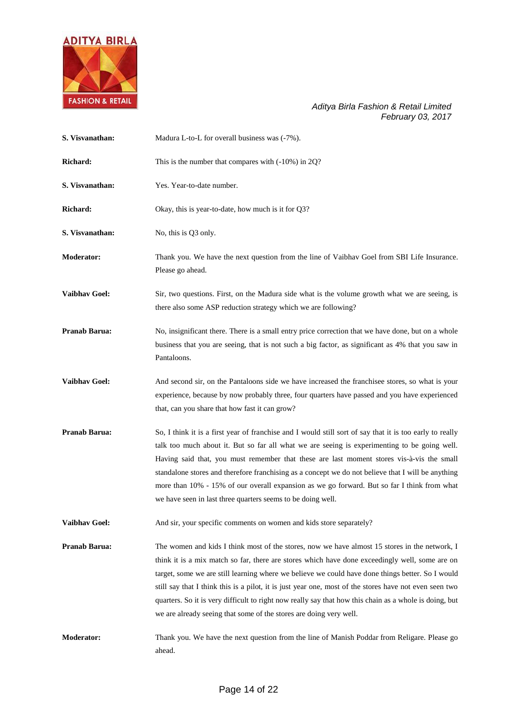

| S. Visvanathan:      | Madura L-to-L for overall business was (-7%).                                                                                                                                                                                                                                                                                                                                                                                                                                                                                                                                                 |
|----------------------|-----------------------------------------------------------------------------------------------------------------------------------------------------------------------------------------------------------------------------------------------------------------------------------------------------------------------------------------------------------------------------------------------------------------------------------------------------------------------------------------------------------------------------------------------------------------------------------------------|
| Richard:             | This is the number that compares with (-10%) in 2Q?                                                                                                                                                                                                                                                                                                                                                                                                                                                                                                                                           |
| S. Visvanathan:      | Yes. Year-to-date number.                                                                                                                                                                                                                                                                                                                                                                                                                                                                                                                                                                     |
| Richard:             | Okay, this is year-to-date, how much is it for Q3?                                                                                                                                                                                                                                                                                                                                                                                                                                                                                                                                            |
| S. Visvanathan:      | No, this is Q3 only.                                                                                                                                                                                                                                                                                                                                                                                                                                                                                                                                                                          |
| <b>Moderator:</b>    | Thank you. We have the next question from the line of Vaibhav Goel from SBI Life Insurance.<br>Please go ahead.                                                                                                                                                                                                                                                                                                                                                                                                                                                                               |
| <b>Vaibhav Goel:</b> | Sir, two questions. First, on the Madura side what is the volume growth what we are seeing, is<br>there also some ASP reduction strategy which we are following?                                                                                                                                                                                                                                                                                                                                                                                                                              |
| Pranab Barua:        | No, insignificant there. There is a small entry price correction that we have done, but on a whole<br>business that you are seeing, that is not such a big factor, as significant as 4% that you saw in<br>Pantaloons.                                                                                                                                                                                                                                                                                                                                                                        |
| <b>Vaibhav Goel:</b> | And second sir, on the Pantaloons side we have increased the franchisee stores, so what is your<br>experience, because by now probably three, four quarters have passed and you have experienced<br>that, can you share that how fast it can grow?                                                                                                                                                                                                                                                                                                                                            |
| Pranab Barua:        | So, I think it is a first year of franchise and I would still sort of say that it is too early to really<br>talk too much about it. But so far all what we are seeing is experimenting to be going well.<br>Having said that, you must remember that these are last moment stores vis-à-vis the small<br>standalone stores and therefore franchising as a concept we do not believe that I will be anything<br>more than 10% - 15% of our overall expansion as we go forward. But so far I think from what<br>we have seen in last three quarters seems to be doing well.                     |
| Vaibhav Goel:        | And sir, your specific comments on women and kids store separately?                                                                                                                                                                                                                                                                                                                                                                                                                                                                                                                           |
| <b>Pranab Barua:</b> | The women and kids I think most of the stores, now we have almost 15 stores in the network, I<br>think it is a mix match so far, there are stores which have done exceedingly well, some are on<br>target, some we are still learning where we believe we could have done things better. So I would<br>still say that I think this is a pilot, it is just year one, most of the stores have not even seen two<br>quarters. So it is very difficult to right now really say that how this chain as a whole is doing, but<br>we are already seeing that some of the stores are doing very well. |
| <b>Moderator:</b>    | Thank you. We have the next question from the line of Manish Poddar from Religare. Please go<br>ahead.                                                                                                                                                                                                                                                                                                                                                                                                                                                                                        |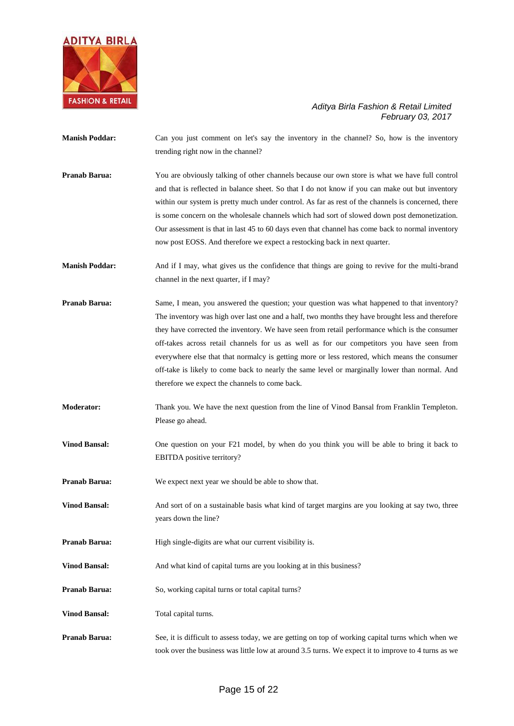

- **Manish Poddar:** Can you just comment on let's say the inventory in the channel? So, how is the inventory trending right now in the channel? **Pranab Barua:** You are obviously talking of other channels because our own store is what we have full control and that is reflected in balance sheet. So that I do not know if you can make out but inventory within our system is pretty much under control. As far as rest of the channels is concerned, there is some concern on the wholesale channels which had sort of slowed down post demonetization. Our assessment is that in last 45 to 60 days even that channel has come back to normal inventory now post EOSS. And therefore we expect a restocking back in next quarter. **Manish Poddar:** And if I may, what gives us the confidence that things are going to revive for the multi-brand channel in the next quarter, if I may? **Pranab Barua:** Same, I mean, you answered the question; your question was what happened to that inventory? The inventory was high over last one and a half, two months they have brought less and therefore they have corrected the inventory. We have seen from retail performance which is the consumer off-takes across retail channels for us as well as for our competitors you have seen from everywhere else that that normalcy is getting more or less restored, which means the consumer off-take is likely to come back to nearly the same level or marginally lower than normal. And therefore we expect the channels to come back. **Moderator:** Thank you. We have the next question from the line of Vinod Bansal from Franklin Templeton. Please go ahead. **Vinod Bansal:** One question on your F21 model, by when do you think you will be able to bring it back to EBITDA positive territory? **Pranab Barua:** We expect next year we should be able to show that. **Vinod Bansal:** And sort of on a sustainable basis what kind of target margins are you looking at say two, three years down the line? **Pranab Barua:** High single-digits are what our current visibility is. Vinod Bansal: And what kind of capital turns are you looking at in this business? **Pranab Barua:** So, working capital turns or total capital turns? **Vinod Bansal:** Total capital turns.
- **Pranab Barua:** See, it is difficult to assess today, we are getting on top of working capital turns which when we took over the business was little low at around 3.5 turns. We expect it to improve to 4 turns as we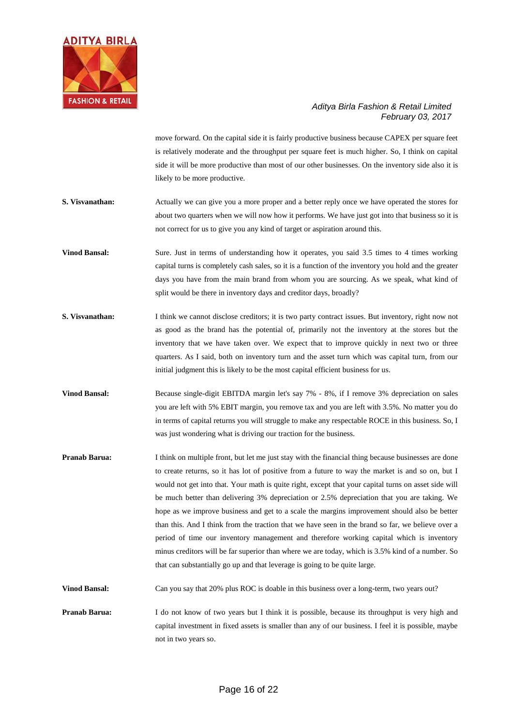

move forward. On the capital side it is fairly productive business because CAPEX per square feet is relatively moderate and the throughput per square feet is much higher. So, I think on capital side it will be more productive than most of our other businesses. On the inventory side also it is likely to be more productive.

- **S. Visvanathan:** Actually we can give you a more proper and a better reply once we have operated the stores for about two quarters when we will now how it performs. We have just got into that business so it is not correct for us to give you any kind of target or aspiration around this.
- **Vinod Bansal:** Sure. Just in terms of understanding how it operates, you said 3.5 times to 4 times working capital turns is completely cash sales, so it is a function of the inventory you hold and the greater days you have from the main brand from whom you are sourcing. As we speak, what kind of split would be there in inventory days and creditor days, broadly?
- **S. Visvanathan:** I think we cannot disclose creditors; it is two party contract issues. But inventory, right now not as good as the brand has the potential of, primarily not the inventory at the stores but the inventory that we have taken over. We expect that to improve quickly in next two or three quarters. As I said, both on inventory turn and the asset turn which was capital turn, from our initial judgment this is likely to be the most capital efficient business for us.
- **Vinod Bansal:** Because single-digit EBITDA margin let's say 7% 8%, if I remove 3% depreciation on sales you are left with 5% EBIT margin, you remove tax and you are left with 3.5%. No matter you do in terms of capital returns you will struggle to make any respectable ROCE in this business. So, I was just wondering what is driving our traction for the business.
- **Pranab Barua:** I think on multiple front, but let me just stay with the financial thing because businesses are done to create returns, so it has lot of positive from a future to way the market is and so on, but I would not get into that. Your math is quite right, except that your capital turns on asset side will be much better than delivering 3% depreciation or 2.5% depreciation that you are taking. We hope as we improve business and get to a scale the margins improvement should also be better than this. And I think from the traction that we have seen in the brand so far, we believe over a period of time our inventory management and therefore working capital which is inventory minus creditors will be far superior than where we are today, which is 3.5% kind of a number. So that can substantially go up and that leverage is going to be quite large.

**Vinod Bansal:** Can you say that 20% plus ROC is doable in this business over a long-term, two years out?

**Pranab Barua:** I do not know of two years but I think it is possible, because its throughput is very high and capital investment in fixed assets is smaller than any of our business. I feel it is possible, maybe not in two years so.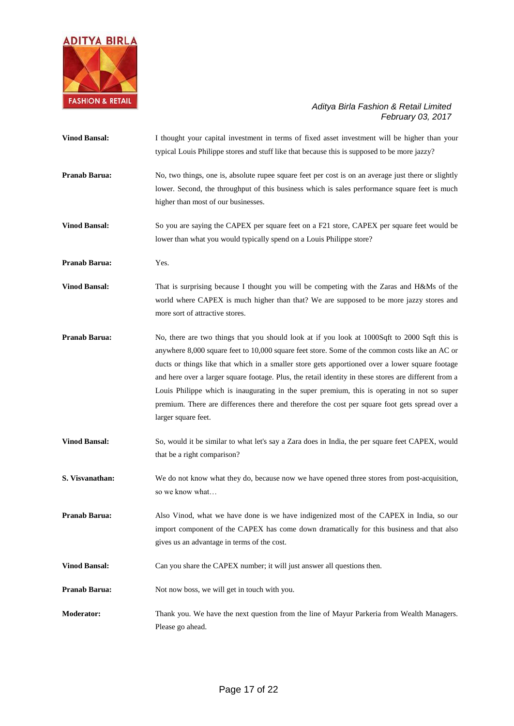

| <b>Vinod Bansal:</b> | I thought your capital investment in terms of fixed asset investment will be higher than your<br>typical Louis Philippe stores and stuff like that because this is supposed to be more jazzy?                                                                                                                                                                                                                                                                                                                                                                                                                                        |
|----------------------|--------------------------------------------------------------------------------------------------------------------------------------------------------------------------------------------------------------------------------------------------------------------------------------------------------------------------------------------------------------------------------------------------------------------------------------------------------------------------------------------------------------------------------------------------------------------------------------------------------------------------------------|
| Pranab Barua:        | No, two things, one is, absolute rupee square feet per cost is on an average just there or slightly<br>lower. Second, the throughput of this business which is sales performance square feet is much<br>higher than most of our businesses.                                                                                                                                                                                                                                                                                                                                                                                          |
| <b>Vinod Bansal:</b> | So you are saying the CAPEX per square feet on a F21 store, CAPEX per square feet would be<br>lower than what you would typically spend on a Louis Philippe store?                                                                                                                                                                                                                                                                                                                                                                                                                                                                   |
| Pranab Barua:        | Yes.                                                                                                                                                                                                                                                                                                                                                                                                                                                                                                                                                                                                                                 |
| <b>Vinod Bansal:</b> | That is surprising because I thought you will be competing with the Zaras and H&Ms of the<br>world where CAPEX is much higher than that? We are supposed to be more jazzy stores and<br>more sort of attractive stores.                                                                                                                                                                                                                                                                                                                                                                                                              |
| Pranab Barua:        | No, there are two things that you should look at if you look at 1000Sqft to 2000 Sqft this is<br>anywhere 8,000 square feet to 10,000 square feet store. Some of the common costs like an AC or<br>ducts or things like that which in a smaller store gets apportioned over a lower square footage<br>and here over a larger square footage. Plus, the retail identity in these stores are different from a<br>Louis Philippe which is inaugurating in the super premium, this is operating in not so super<br>premium. There are differences there and therefore the cost per square foot gets spread over a<br>larger square feet. |
| <b>Vinod Bansal:</b> | So, would it be similar to what let's say a Zara does in India, the per square feet CAPEX, would<br>that be a right comparison?                                                                                                                                                                                                                                                                                                                                                                                                                                                                                                      |
| S. Visvanathan:      | We do not know what they do, because now we have opened three stores from post-acquisition,<br>so we know what                                                                                                                                                                                                                                                                                                                                                                                                                                                                                                                       |
| Pranab Barua:        | Also Vinod, what we have done is we have indigenized most of the CAPEX in India, so our<br>import component of the CAPEX has come down dramatically for this business and that also<br>gives us an advantage in terms of the cost.                                                                                                                                                                                                                                                                                                                                                                                                   |
| <b>Vinod Bansal:</b> | Can you share the CAPEX number; it will just answer all questions then.                                                                                                                                                                                                                                                                                                                                                                                                                                                                                                                                                              |
| Pranab Barua:        | Not now boss, we will get in touch with you.                                                                                                                                                                                                                                                                                                                                                                                                                                                                                                                                                                                         |
| Moderator:           | Thank you. We have the next question from the line of Mayur Parkeria from Wealth Managers.<br>Please go ahead.                                                                                                                                                                                                                                                                                                                                                                                                                                                                                                                       |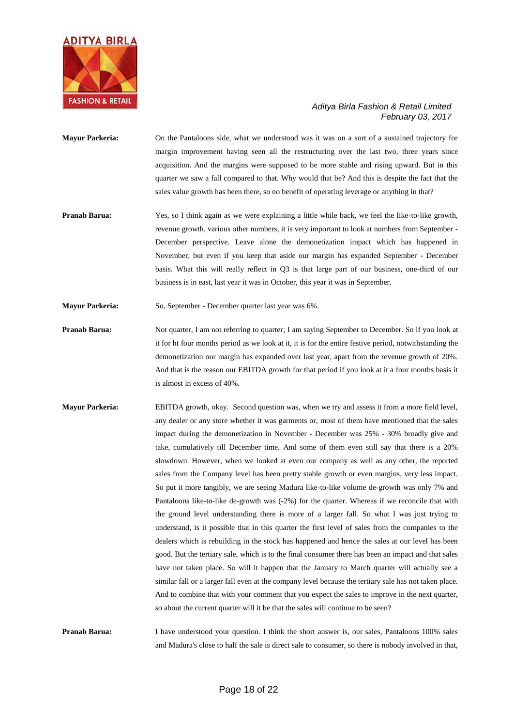

- **Mayur Parkeria:** On the Pantaloons side, what we understood was it was on a sort of a sustained trajectory for margin improvement having seen all the restructuring over the last two, three years since acquisition. And the margins were supposed to be more stable and rising upward. But in this quarter we saw a fall compared to that. Why would that be? And this is despite the fact that the sales value growth has been there, so no benefit of operating leverage or anything in that?
- **Pranab Barua:** Yes, so I think again as we were explaining a little while back, we feel the like-to-like growth, revenue growth, various other numbers, it is very important to look at numbers from September - December perspective. Leave alone the demonetization impact which has happened in November, but even if you keep that aside our margin has expanded September - December basis. What this will really reflect in Q3 is that large part of our business, one-third of our business is in east, last year it was in October, this year it was in September.
- **Mayur Parkeria:** So, September December quarter last year was 6%.
- **Pranab Barua:** Not quarter, I am not referring to quarter; I am saying September to December. So if you look at it for ht four months period as we look at it, it is for the entire festive period, notwithstanding the demonetization our margin has expanded over last year, apart from the revenue growth of 20%. And that is the reason our EBITDA growth for that period if you look at it a four months basis it is almost in excess of 40%.
- **Mayur Parkeria:** EBITDA growth, okay. Second question was, when we try and assess it from a more field level, any dealer or any store whether it was garments or, most of them have mentioned that the sales impact during the demonetization in November - December was 25% - 30% broadly give and take, cumulatively till December time. And some of them even still say that there is a 20% slowdown. However, when we looked at even our company as well as any other, the reported sales from the Company level has been pretty stable growth or even margins, very less impact. So put it more tangibly, we are seeing Madura like-to-like volume de-growth was only 7% and Pantaloons like-to-like de-growth was  $(-2%)$  for the quarter. Whereas if we reconcile that with the ground level understanding there is more of a larger fall. So what I was just trying to understand, is it possible that in this quarter the first level of sales from the companies to the dealers which is rebuilding in the stock has happened and hence the sales at our level has been good. But the tertiary sale, which is to the final consumer there has been an impact and that sales have not taken place. So will it happen that the January to March quarter will actually see a similar fall or a larger fall even at the company level because the tertiary sale has not taken place. And to combine that with your comment that you expect the sales to improve in the next quarter, so about the current quarter will it be that the sales will continue to be seen?

**Pranab Barua:** I have understood your question. I think the short answer is, our sales, Pantaloons 100% sales and Madura's close to half the sale is direct sale to consumer, so there is nobody involved in that,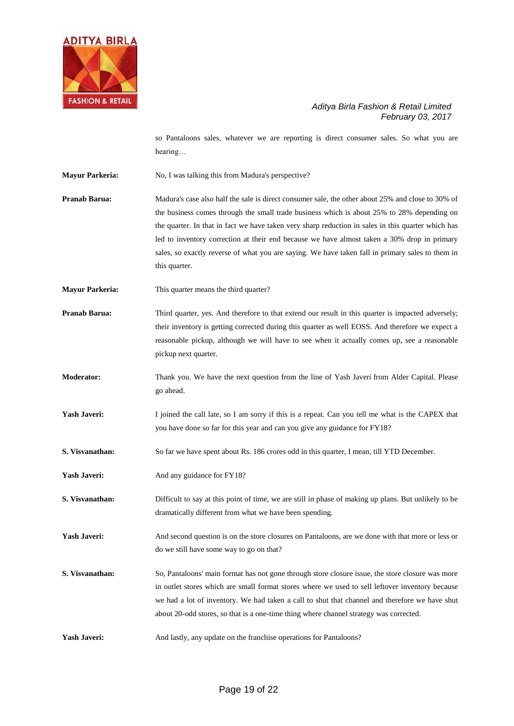

so Pantaloons sales, whatever we are reporting is direct consumer sales. So what you are hearing…

**Mayur Parkeria:** No, I was talking this from Madura's perspective?

**Pranab Barua:** Madura's case also half the sale is direct consumer sale, the other about 25% and close to 30% of the business comes through the small trade business which is about 25% to 28% depending on the quarter. In that in fact we have taken very sharp reduction in sales in this quarter which has led to inventory correction at their end because we have almost taken a 30% drop in primary sales, so exactly reverse of what you are saying. We have taken fall in primary sales to them in this quarter.

**Mayur Parkeria:** This quarter means the third quarter?

**Pranab Barua:** Third quarter, yes. And therefore to that extend our result in this quarter is impacted adversely; their inventory is getting corrected during this quarter as well EOSS. And therefore we expect a reasonable pickup, although we will have to see when it actually comes up, see a reasonable pickup next quarter.

**Moderator:** Thank you. We have the next question from the line of Yash Javeri from Alder Capital. Please go ahead.

**Yash Javeri:** I joined the call late, so I am sorry if this is a repeat. Can you tell me what is the CAPEX that you have done so far for this year and can you give any guidance for FY18?

**S. Visvanathan:** So far we have spent about Rs. 186 crores odd in this quarter, I mean, till YTD December.

Yash Javeri: And any guidance for FY18?

**S. Visvanathan:** Difficult to say at this point of time, we are still in phase of making up plans. But unlikely to be dramatically different from what we have been spending.

**Yash Javeri:** And second question is on the store closures on Pantaloons, are we done with that more or less or do we still have some way to go on that?

**S. Visvanathan:** So, Pantaloons' main format has not gone through store closure issue, the store closure was more in outlet stores which are small format stores where we used to sell leftover inventory because we had a lot of inventory. We had taken a call to shut that channel and therefore we have shut about 20-odd stores, so that is a one-time thing where channel strategy was corrected.

Yash Javeri: And lastly, any update on the franchise operations for Pantaloons?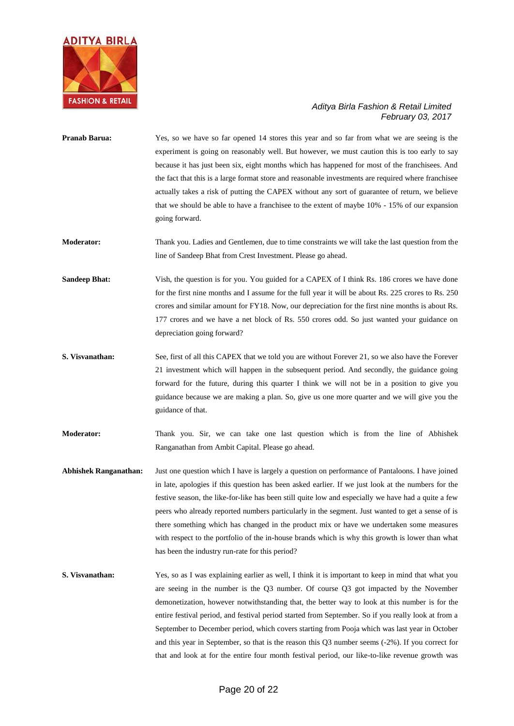

- **Pranab Barua:** Yes, so we have so far opened 14 stores this year and so far from what we are seeing is the experiment is going on reasonably well. But however, we must caution this is too early to say because it has just been six, eight months which has happened for most of the franchisees. And the fact that this is a large format store and reasonable investments are required where franchisee actually takes a risk of putting the CAPEX without any sort of guarantee of return, we believe that we should be able to have a franchisee to the extent of maybe 10% - 15% of our expansion going forward.
- **Moderator:** Thank you. Ladies and Gentlemen, due to time constraints we will take the last question from the line of Sandeep Bhat from Crest Investment. Please go ahead.
- **Sandeep Bhat:** Vish, the question is for you. You guided for a CAPEX of I think Rs. 186 crores we have done for the first nine months and I assume for the full year it will be about Rs. 225 crores to Rs. 250 crores and similar amount for FY18. Now, our depreciation for the first nine months is about Rs. 177 crores and we have a net block of Rs. 550 crores odd. So just wanted your guidance on depreciation going forward?
- **S. Visvanathan:** See, first of all this CAPEX that we told you are without Forever 21, so we also have the Forever 21 investment which will happen in the subsequent period. And secondly, the guidance going forward for the future, during this quarter I think we will not be in a position to give you guidance because we are making a plan. So, give us one more quarter and we will give you the guidance of that.

**Moderator:** Thank you. Sir, we can take one last question which is from the line of Abhishek Ranganathan from Ambit Capital. Please go ahead.

- **Abhishek Ranganathan:** Just one question which I have is largely a question on performance of Pantaloons. I have joined in late, apologies if this question has been asked earlier. If we just look at the numbers for the festive season, the like-for-like has been still quite low and especially we have had a quite a few peers who already reported numbers particularly in the segment. Just wanted to get a sense of is there something which has changed in the product mix or have we undertaken some measures with respect to the portfolio of the in-house brands which is why this growth is lower than what has been the industry run-rate for this period?
- **S. Visvanathan:** Yes, so as I was explaining earlier as well, I think it is important to keep in mind that what you are seeing in the number is the Q3 number. Of course Q3 got impacted by the November demonetization, however notwithstanding that, the better way to look at this number is for the entire festival period, and festival period started from September. So if you really look at from a September to December period, which covers starting from Pooja which was last year in October and this year in September, so that is the reason this Q3 number seems (-2%). If you correct for that and look at for the entire four month festival period, our like-to-like revenue growth was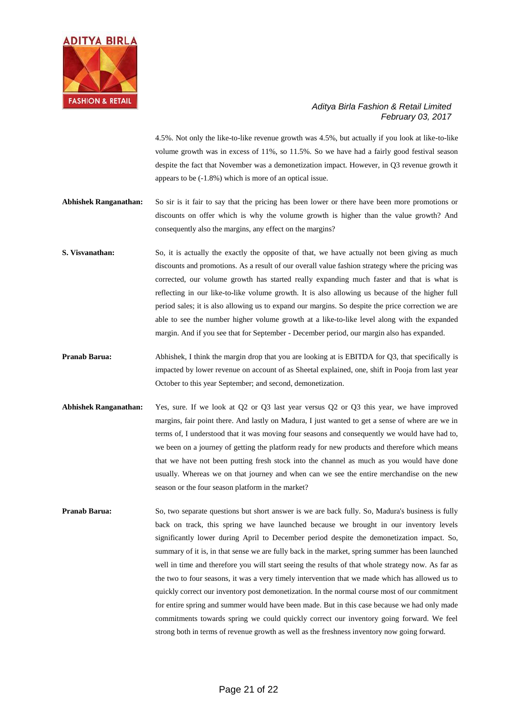

4.5%. Not only the like-to-like revenue growth was 4.5%, but actually if you look at like-to-like volume growth was in excess of 11%, so 11.5%. So we have had a fairly good festival season despite the fact that November was a demonetization impact. However, in Q3 revenue growth it appears to be (-1.8%) which is more of an optical issue.

- **Abhishek Ranganathan:** So sir is it fair to say that the pricing has been lower or there have been more promotions or discounts on offer which is why the volume growth is higher than the value growth? And consequently also the margins, any effect on the margins?
- **S. Visvanathan:** So, it is actually the exactly the opposite of that, we have actually not been giving as much discounts and promotions. As a result of our overall value fashion strategy where the pricing was corrected, our volume growth has started really expanding much faster and that is what is reflecting in our like-to-like volume growth. It is also allowing us because of the higher full period sales; it is also allowing us to expand our margins. So despite the price correction we are able to see the number higher volume growth at a like-to-like level along with the expanded margin. And if you see that for September - December period, our margin also has expanded.
- **Pranab Barua:** Abhishek, I think the margin drop that you are looking at is EBITDA for Q3, that specifically is impacted by lower revenue on account of as Sheetal explained, one, shift in Pooja from last year October to this year September; and second, demonetization.
- **Abhishek Ranganathan:** Yes, sure. If we look at Q2 or Q3 last year versus Q2 or Q3 this year, we have improved margins, fair point there. And lastly on Madura, I just wanted to get a sense of where are we in terms of, I understood that it was moving four seasons and consequently we would have had to, we been on a journey of getting the platform ready for new products and therefore which means that we have not been putting fresh stock into the channel as much as you would have done usually. Whereas we on that journey and when can we see the entire merchandise on the new season or the four season platform in the market?
- **Pranab Barua:** So, two separate questions but short answer is we are back fully. So, Madura's business is fully back on track, this spring we have launched because we brought in our inventory levels significantly lower during April to December period despite the demonetization impact. So, summary of it is, in that sense we are fully back in the market, spring summer has been launched well in time and therefore you will start seeing the results of that whole strategy now. As far as the two to four seasons, it was a very timely intervention that we made which has allowed us to quickly correct our inventory post demonetization. In the normal course most of our commitment for entire spring and summer would have been made. But in this case because we had only made commitments towards spring we could quickly correct our inventory going forward. We feel strong both in terms of revenue growth as well as the freshness inventory now going forward.